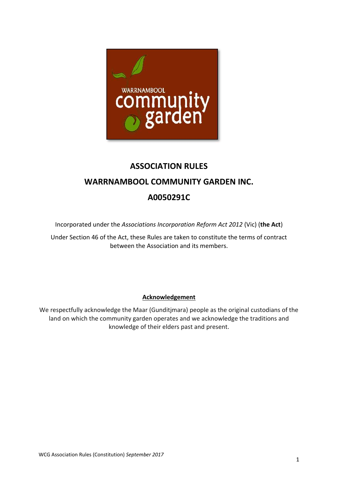

# **ASSOCIATION RULES**

# **WARRNAMBOOL COMMUNITY GARDEN INC.**

# **A0050291C**

Incorporated under the *Associations Incorporation Reform Act 2012* (Vic) (**the Act**)

Under Section 46 of the Act, these Rules are taken to constitute the terms of contract between the Association and its members.

### **Acknowledgement**

We respectfully acknowledge the Maar (Gunditjmara) people as the original custodians of the land on which the community garden operates and we acknowledge the traditions and knowledge of their elders past and present.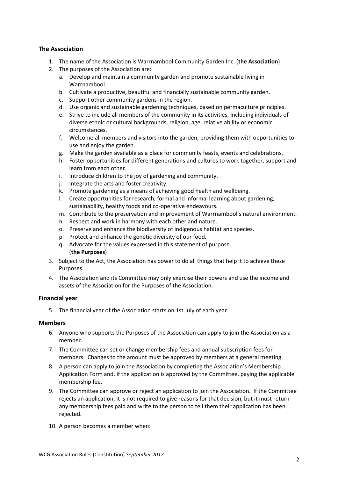### **The Association**

- 1. The name of the Association is Warrnambool Community Garden Inc. (**the Association**)
- 2. The purposes of the Association are:
	- a. Develop and maintain a community garden and promote sustainable living in Warrnambool.
	- b. Cultivate a productive, beautiful and financially sustainable community garden.
	- c. Support other community gardens in the region.
	- d. Use organic and sustainable gardening techniques, based on permaculture principles.
	- e. Strive to include all members of the community in its activities, including individuals of diverse ethnic or cultural backgrounds, religion, age, relative ability or economic circumstances.
	- f. Welcome all members and visitors into the garden, providing them with opportunities to use and enjoy the garden.
	- g. Make the garden available as a place for community feasts, events and celebrations.
	- h. Foster opportunities for different generations and cultures to work together, support and learn from each other.
	- i. Introduce children to the joy of gardening and community.
	- j. Integrate the arts and foster creativity.
	- k. Promote gardening as a means of achieving good health and wellbeing.
	- l. Create opportunities for research, formal and informal learning about gardening, sustainability, healthy foods and co-operative endeavours.
	- m. Contribute to the preservation and improvement of Warrnambool's natural environment.
	- n. Respect and work in harmony with each other and nature.
	- o. Preserve and enhance the biodiversity of indigenous habitat and species.
	- p. Protect and enhance the genetic diversity of our food.
	- q. Advocate for the values expressed in this statement of purpose. (**the Purposes**)
- 3. Subject to the Act, the Association has power to do all things that help it to achieve these Purposes.
- 4. The Association and its Committee may only exercise their powers and use the income and assets of the Association for the Purposes of the Association.

#### **Financial year**

5. The financial year of the Association starts on 1st July of each year.

#### **Members**

- 6. Anyone who supports the Purposes of the Association can apply to join the Association as a member.
- 7. The Committee can set or change membership fees and annual subscription fees for members. Changes to the amount must be approved by members at a general meeting.
- 8. A person can apply to join the Association by completing the Association's Membership Application Form and, if the application is approved by the Committee, paying the applicable membership fee.
- 9. The Committee can approve or reject an application to join the Association. If the Committee rejects an application, it is not required to give reasons for that decision, but it must return any membership fees paid and write to the person to tell them their application has been rejected.
- 10. A person becomes a member when: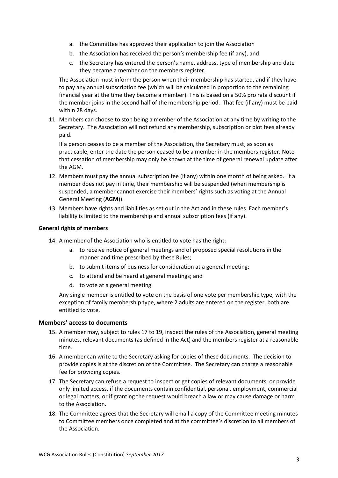- a. the Committee has approved their application to join the Association
- b. the Association has received the person's membership fee (if any), and
- c. the Secretary has entered the person's name, address, type of membership and date they became a member on the members register.

The Association must inform the person when their membership has started, and if they have to pay any annual subscription fee (which will be calculated in proportion to the remaining financial year at the time they become a member). This is based on a 50% pro rata discount if the member joins in the second half of the membership period. That fee (if any) must be paid within 28 days.

11. Members can choose to stop being a member of the Association at any time by writing to the Secretary. The Association will not refund any membership, subscription or plot fees already paid.

If a person ceases to be a member of the Association, the Secretary must, as soon as practicable, enter the date the person ceased to be a member in the members register. Note that cessation of membership may only be known at the time of general renewal update after the AGM.

- 12. Members must pay the annual subscription fee (if any) within one month of being asked. If a member does not pay in time, their membership will be suspended (when membership is suspended, a member cannot exercise their members' rights such as voting at the Annual General Meeting (**AGM**)).
- 13. Members have rights and liabilities as set out in the Act and in these rules. Each member's liability is limited to the membership and annual subscription fees (if any).

#### **General rights of members**

- 14. A member of the Association who is entitled to vote has the right:
	- a. to receive notice of general meetings and of proposed special resolutions in the manner and time prescribed by these Rules;
	- b. to submit items of business for consideration at a general meeting;
	- c. to attend and be heard at general meetings; and
	- d. to vote at a general meeting

Any single member is entitled to vote on the basis of one vote per membership type, with the exception of family membership type, where 2 adults are entered on the register, both are entitled to vote.

#### **Members' access to documents**

- 15. A member may, subject to rules 17 to 19, inspect the rules of the Association, general meeting minutes, relevant documents (as defined in the Act) and the members register at a reasonable time.
- 16. A member can write to the Secretary asking for copies of these documents. The decision to provide copies is at the discretion of the Committee. The Secretary can charge a reasonable fee for providing copies.
- 17. The Secretary can refuse a request to inspect or get copies of relevant documents, or provide only limited access, if the documents contain confidential, personal, employment, commercial or legal matters, or if granting the request would breach a law or may cause damage or harm to the Association.
- 18. The Committee agrees that the Secretary will email a copy of the Committee meeting minutes to Committee members once completed and at the committee's discretion to all members of the Association.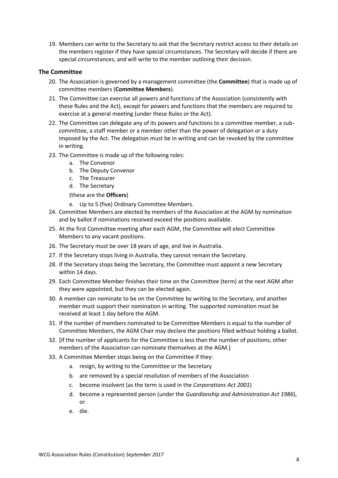19. Members can write to the Secretary to ask that the Secretary restrict access to their details on the members register if they have special circumstances. The Secretary will decide if there are special circumstances, and will write to the member outlining their decision.

#### **The Committee**

- 20. The Association is governed by a management committee (the **Committee**) that is made up of committee members (**Committee Members**).
- 21. The Committee can exercise all powers and functions of the Association (consistently with these Rules and the Act), except for powers and functions that the members are required to exercise at a general meeting (under these Rules or the Act).
- 22. The Committee can delegate any of its powers and functions to a committee member, a subcommittee, a staff member or a member other than the power of delegation or a duty imposed by the Act. The delegation must be in writing and can be revoked by the committee in writing.
- 23. The Committee is made up of the following roles:
	- a. The Convenor
	- b. The Deputy Convenor
	- c. The Treasurer
	- d. The Secretary

(these are the **Officers**)

- e. Up to 5 (five) Ordinary Committee Members.
- 24. Committee Members are elected by members of the Association at the AGM by nomination and by ballot if nominations received exceed the positions available.
- 25. At the first Committee meeting after each AGM, the Committee will elect Committee Members to any vacant positions.
- 26. The Secretary must be over 18 years of age, and live in Australia.
- 27. If the Secretary stops living in Australia, they cannot remain the Secretary.
- 28. If the Secretary stops being the Secretary, the Committee must appoint a new Secretary within 14 days.
- 29. Each Committee Member finishes their time on the Committee (term) at the next AGM after they were appointed, but they can be elected again.
- 30. A member can nominate to be on the Committee by writing to the Secretary, and another member must support their nomination in writing. The supported nomination must be received at least 1 day before the AGM.
- 31. If the number of members nominated to be Committee Members is equal to the number of Committee Members, the AGM Chair may declare the positions filled without holding a ballot.
- 32. [If the number of applicants for the Committee is less than the number of positions, other members of the Association can nominate themselves at the AGM.]
- 33. A Committee Member stops being on the Committee if they:
	- a. resign, by writing to the Committee or the Secretary
	- b. are removed by a special resolution of members of the Association
	- c. become insolvent (as the term is used in the *Corporations Act 2001*)
	- d. become a represented person (under the *Guardianship and Administration Act 1986*), or
	- e. die.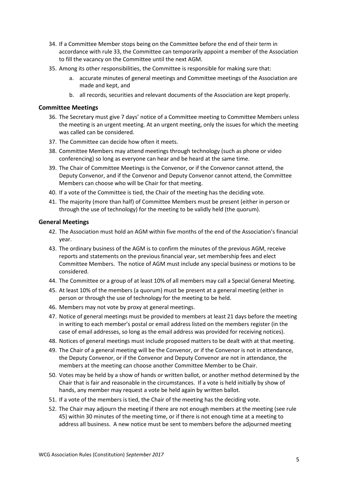- 34. If a Committee Member stops being on the Committee before the end of their term in accordance with rule 33, the Committee can temporarily appoint a member of the Association to fill the vacancy on the Committee until the next AGM.
- 35. Among its other responsibilities, the Committee is responsible for making sure that:
	- a. accurate minutes of general meetings and Committee meetings of the Association are made and kept, and
	- b. all records, securities and relevant documents of the Association are kept properly.

#### **Committee Meetings**

- 36. The Secretary must give 7 days' notice of a Committee meeting to Committee Members unless the meeting is an urgent meeting. At an urgent meeting, only the issues for which the meeting was called can be considered.
- 37. The Committee can decide how often it meets.
- 38. Committee Members may attend meetings through technology (such as phone or video conferencing) so long as everyone can hear and be heard at the same time.
- 39. The Chair of Committee Meetings is the Convenor, or if the Convenor cannot attend, the Deputy Convenor, and if the Convenor and Deputy Convenor cannot attend, the Committee Members can choose who will be Chair for that meeting.
- 40. If a vote of the Committee is tied, the Chair of the meeting has the deciding vote.
- 41. The majority (more than half) of Committee Members must be present (either in person or through the use of technology) for the meeting to be validly held (the quorum).

#### **General Meetings**

- 42. The Association must hold an AGM within five months of the end of the Association's financial year.
- 43. The ordinary business of the AGM is to confirm the minutes of the previous AGM, receive reports and statements on the previous financial year, set membership fees and elect Committee Members. The notice of AGM must include any special business or motions to be considered.
- 44. The Committee or a group of at least 10% of all members may call a Special General Meeting.
- 45. At least 10% of the members (a quorum) must be present at a general meeting (either in person or through the use of technology for the meeting to be held.
- 46. Members may not vote by proxy at general meetings.
- 47. Notice of general meetings must be provided to members at least 21 days before the meeting in writing to each member's postal or email address listed on the members register (in the case of email addresses, so long as the email address was provided for receiving notices).
- 48. Notices of general meetings must include proposed matters to be dealt with at that meeting.
- 49. The Chair of a general meeting will be the Convenor, or if the Convenor is not in attendance, the Deputy Convenor, or if the Convenor and Deputy Convenor are not in attendance, the members at the meeting can choose another Committee Member to be Chair.
- 50. Votes may be held by a show of hands or written ballot, or another method determined by the Chair that is fair and reasonable in the circumstances. If a vote is held initially by show of hands, any member may request a vote be held again by written ballot.
- 51. If a vote of the members is tied, the Chair of the meeting has the deciding vote.
- 52. The Chair may adjourn the meeting if there are not enough members at the meeting (see rule 45) within 30 minutes of the meeting time, or if there is not enough time at a meeting to address all business. A new notice must be sent to members before the adjourned meeting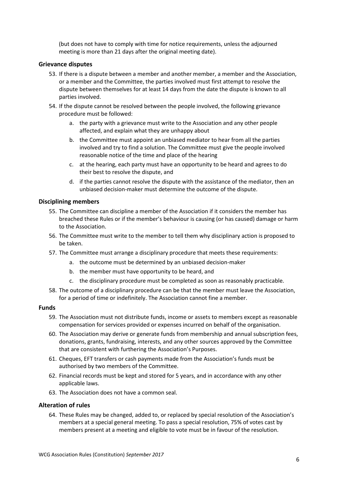(but does not have to comply with time for notice requirements, unless the adjourned meeting is more than 21 days after the original meeting date).

#### **Grievance disputes**

- 53. If there is a dispute between a member and another member, a member and the Association, or a member and the Committee, the parties involved must first attempt to resolve the dispute between themselves for at least 14 days from the date the dispute is known to all parties involved.
- 54. If the dispute cannot be resolved between the people involved, the following grievance procedure must be followed:
	- a. the party with a grievance must write to the Association and any other people affected, and explain what they are unhappy about
	- b. the Committee must appoint an unbiased mediator to hear from all the parties involved and try to find a solution. The Committee must give the people involved reasonable notice of the time and place of the hearing
	- c. at the hearing, each party must have an opportunity to be heard and agrees to do their best to resolve the dispute, and
	- d. if the parties cannot resolve the dispute with the assistance of the mediator, then an unbiased decision-maker must determine the outcome of the dispute.

#### **Disciplining members**

- 55. The Committee can discipline a member of the Association if it considers the member has breached these Rules or if the member's behaviour is causing (or has caused) damage or harm to the Association.
- 56. The Committee must write to the member to tell them why disciplinary action is proposed to be taken.
- 57. The Committee must arrange a disciplinary procedure that meets these requirements:
	- a. the outcome must be determined by an unbiased decision-maker
	- b. the member must have opportunity to be heard, and
	- c. the disciplinary procedure must be completed as soon as reasonably practicable.
- 58. The outcome of a disciplinary procedure can be that the member must leave the Association, for a period of time or indefinitely. The Association cannot fine a member.

#### **Funds**

- 59. The Association must not distribute funds, income or assets to members except as reasonable compensation for services provided or expenses incurred on behalf of the organisation.
- 60. The Association may derive or generate funds from membership and annual subscription fees, donations, grants, fundraising, interests, and any other sources approved by the Committee that are consistent with furthering the Association's Purposes.
- 61. Cheques, EFT transfers or cash payments made from the Association's funds must be authorised by two members of the Committee.
- 62. Financial records must be kept and stored for 5 years, and in accordance with any other applicable laws.
- 63. The Association does not have a common seal.

#### **Alteration of rules**

64. These Rules may be changed, added to, or replaced by special resolution of the Association's members at a special general meeting. To pass a special resolution, 75% of votes cast by members present at a meeting and eligible to vote must be in favour of the resolution.